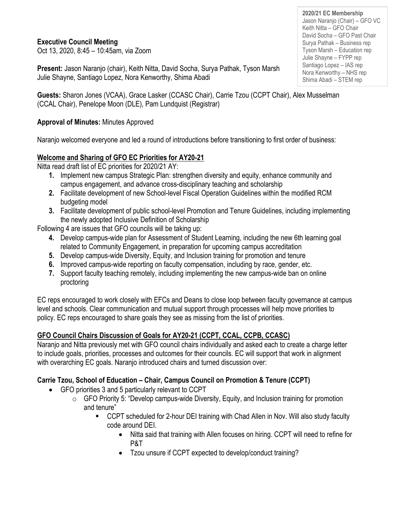### **Executive Council Meeting**

Oct 13, 2020, 8:45 – 10:45am, via Zoom

**Present:** Jason Naranjo (chair), Keith Nitta, David Socha, Surya Pathak, Tyson Marsh Julie Shayne, Santiago Lopez, Nora Kenworthy, Shima Abadi

**Guests:** Sharon Jones (VCAA), Grace Lasker (CCASC Chair), Carrie Tzou (CCPT Chair), Alex Musselman (CCAL Chair), Penelope Moon (DLE), Pam Lundquist (Registrar)

#### **Approval of Minutes:** Minutes Approved

Naranjo welcomed everyone and led a round of introductions before transitioning to first order of business:

#### **Welcome and Sharing of GFO EC Priorities for AY20-21**

Nitta read draft list of EC priorities for 2020/21 AY:

- **1.** Implement new campus Strategic Plan: strengthen diversity and equity, enhance community and campus engagement, and advance cross-disciplinary teaching and scholarship
- **2.** Facilitate development of new School-level Fiscal Operation Guidelines within the modified RCM budgeting model
- **3.** Facilitate development of public school-level Promotion and Tenure Guidelines, including implementing the newly adopted Inclusive Definition of Scholarship

Following 4 are issues that GFO councils will be taking up:

- **4.** Develop campus-wide plan for Assessment of Student Learning, including the new 6th learning goal related to Community Engagement, in preparation for upcoming campus accreditation
- **5.** Develop campus-wide Diversity, Equity, and Inclusion training for promotion and tenure
- **6.** Improved campus-wide reporting on faculty compensation, including by race, gender, etc.
- **7.** Support faculty teaching remotely, including implementing the new campus-wide ban on online proctoring

EC reps encouraged to work closely with EFCs and Deans to close loop between faculty governance at campus level and schools. Clear communication and mutual support through processes will help move priorities to policy. EC reps encouraged to share goals they see as missing from the list of priorities.

## **GFO Council Chairs Discussion of Goals for AY20-21 (CCPT, CCAL, CCPB, CCASC)**

Naranjo and Nitta previously met with GFO council chairs individually and asked each to create a charge letter to include goals, priorities, processes and outcomes for their councils. EC will support that work in alignment with overarching EC goals. Naranjo introduced chairs and turned discussion over:

## **Carrie Tzou, School of Education – Chair, Campus Council on Promotion & Tenure (CCPT)**

- GFO priorities 3 and 5 particularly relevant to CCPT
	- $\circ$  GFO Priority 5: "Develop campus-wide Diversity, Equity, and Inclusion training for promotion and tenure"
		- CCPT scheduled for 2-hour DEI training with Chad Allen in Nov. Will also study faculty code around DEI.
			- Nitta said that training with Allen focuses on hiring. CCPT will need to refine for P&T
			- Tzou unsure if CCPT expected to develop/conduct training?

**2020/21 EC Membership** Jason Naranjo (Chair) – GFO VC Keith Nitta – GFO Chair David Socha – GFO Past Chair Surya Pathak – Business rep Tyson Marsh – Education rep Julie Shayne – FYPP rep Santiago Lopez – IAS rep Nora Kenworthy – NHS rep Shima Abadi – STEM rep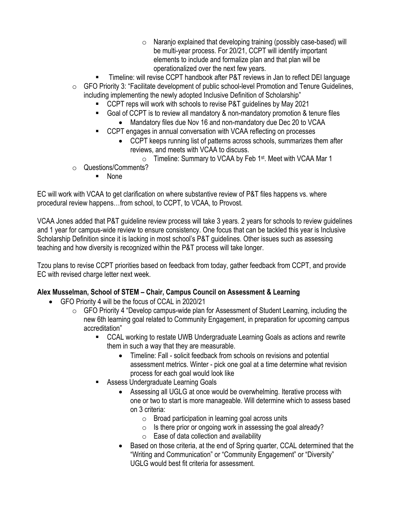- o Naranjo explained that developing training (possibly case-based) will be multi-year process. For 20/21, CCPT will identify important elements to include and formalize plan and that plan will be operationalized over the next few years.
- Timeline: will revise CCPT handbook after P&T reviews in Jan to reflect DEI language  $\circ$  GFO Priority 3: "Facilitate development of public school-level Promotion and Tenure Guidelines,
- including implementing the newly adopted Inclusive Definition of Scholarship"
	- CCPT reps will work with schools to revise P&T quidelines by May 2021
	- Goal of CCPT is to review all mandatory & non-mandatory promotion & tenure files
		- Mandatory files due Nov 16 and non-mandatory due Dec 20 to VCAA
	- CCPT engages in annual conversation with VCAA reflecting on processes
		- CCPT keeps running list of patterns across schools, summarizes them after reviews, and meets with VCAA to discuss.
			- $\circ$  Timeline: Summary to VCAA by Feb 1<sup>st</sup>. Meet with VCAA Mar 1
- o Questions/Comments?
	- None

EC will work with VCAA to get clarification on where substantive review of P&T files happens vs. where procedural review happens…from school, to CCPT, to VCAA, to Provost.

VCAA Jones added that P&T guideline review process will take 3 years. 2 years for schools to review guidelines and 1 year for campus-wide review to ensure consistency. One focus that can be tackled this year is Inclusive Scholarship Definition since it is lacking in most school's P&T guidelines. Other issues such as assessing teaching and how diversity is recognized within the P&T process will take longer.

Tzou plans to revise CCPT priorities based on feedback from today, gather feedback from CCPT, and provide EC with revised charge letter next week.

# **Alex Musselman, School of STEM – Chair, Campus Council on Assessment & Learning**

- GFO Priority 4 will be the focus of CCAL in 2020/21
	- $\circ$  GFO Priority 4 "Develop campus-wide plan for Assessment of Student Learning, including the new 6th learning goal related to Community Engagement, in preparation for upcoming campus accreditation"
		- CCAL working to restate UWB Undergraduate Learning Goals as actions and rewrite them in such a way that they are measurable.
			- Timeline: Fall solicit feedback from schools on revisions and potential assessment metrics. Winter - pick one goal at a time determine what revision process for each goal would look like
		- Assess Undergraduate Learning Goals
			- Assessing all UGLG at once would be overwhelming. Iterative process with one or two to start is more manageable. Will determine which to assess based on 3 criteria:
				- o Broad participation in learning goal across units
				- $\circ$  Is there prior or ongoing work in assessing the goal already?
				- $\circ$  Ease of data collection and availability
			- Based on those criteria, at the end of Spring quarter, CCAL determined that the "Writing and Communication" or "Community Engagement" or "Diversity" UGLG would best fit criteria for assessment.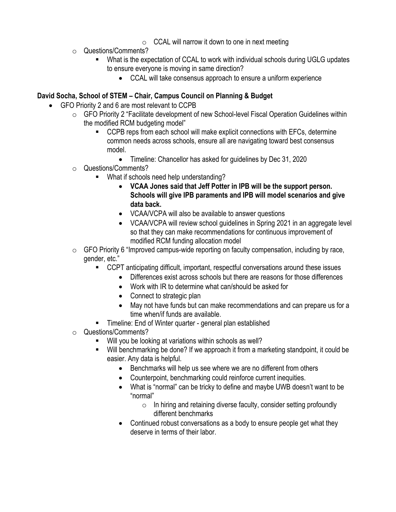- $\circ$  CCAL will narrow it down to one in next meeting
- o Questions/Comments?
	- What is the expectation of CCAL to work with individual schools during UGLG updates to ensure everyone is moving in same direction?
		- CCAL will take consensus approach to ensure a uniform experience

## **David Socha, School of STEM – Chair, Campus Council on Planning & Budget**

- GFO Priority 2 and 6 are most relevant to CCPB
	- o GFO Priority 2 "Facilitate development of new School-level Fiscal Operation Guidelines within the modified RCM budgeting model"
		- CCPB reps from each school will make explicit connections with EFCs, determine common needs across schools, ensure all are navigating toward best consensus model.
			- Timeline: Chancellor has asked for guidelines by Dec 31, 2020
	- o Questions/Comments?
		- What if schools need help understanding?
			- **VCAA Jones said that Jeff Potter in IPB will be the support person. Schools will give IPB paraments and IPB will model scenarios and give data back.**
			- VCAA/VCPA will also be available to answer questions
			- VCAA/VCPA will review school guidelines in Spring 2021 in an aggregate level so that they can make recommendations for continuous improvement of modified RCM funding allocation model
	- $\circ$  GFO Priority 6 "Improved campus-wide reporting on faculty compensation, including by race, gender, etc."
		- CCPT anticipating difficult, important, respectful conversations around these issues
			- Differences exist across schools but there are reasons for those differences
			- Work with IR to determine what can/should be asked for
			- Connect to strategic plan
			- May not have funds but can make recommendations and can prepare us for a time when/if funds are available.
		- Timeline: End of Winter quarter general plan established
	- o Questions/Comments?
		- Will you be looking at variations within schools as well?
		- Will benchmarking be done? If we approach it from a marketing standpoint, it could be easier. Any data is helpful.
			- Benchmarks will help us see where we are no different from others
			- Counterpoint, benchmarking could reinforce current inequities.
			- What is "normal" can be tricky to define and maybe UWB doesn't want to be "normal"
				- $\circ$  In hiring and retaining diverse faculty, consider setting profoundly different benchmarks
			- Continued robust conversations as a body to ensure people get what they deserve in terms of their labor.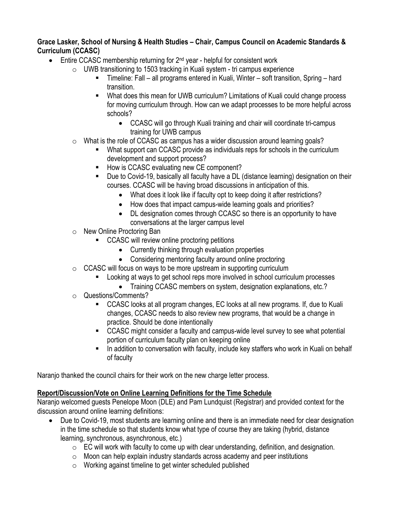#### **Grace Lasker, School of Nursing & Health Studies – Chair, Campus Council on Academic Standards & Curriculum (CCASC)**

- Entire CCASC membership returning for  $2<sup>nd</sup>$  year helpful for consistent work
	- $\circ$  UWB transitioning to 1503 tracking in Kuali system tri campus experience
		- Timeline: Fall all programs entered in Kuali, Winter soft transition, Spring hard transition.
		- What does this mean for UWB curriculum? Limitations of Kuali could change process for moving curriculum through. How can we adapt processes to be more helpful across schools?
			- CCASC will go through Kuali training and chair will coordinate tri-campus training for UWB campus
	- $\circ$  What is the role of CCASC as campus has a wider discussion around learning goals?
		- What support can CCASC provide as individuals reps for schools in the curriculum development and support process?
		- How is CCASC evaluating new CE component?
		- Due to Covid-19, basically all faculty have a DL (distance learning) designation on their courses. CCASC will be having broad discussions in anticipation of this.
			- What does it look like if faculty opt to keep doing it after restrictions?
			- How does that impact campus-wide learning goals and priorities?
			- DL designation comes through CCASC so there is an opportunity to have conversations at the larger campus level
	- o New Online Proctoring Ban
		- CCASC will review online proctoring petitions
			- Currently thinking through evaluation properties
			- Considering mentoring faculty around online proctoring
	- $\circ$  CCASC will focus on ways to be more upstream in supporting curriculum
		- Looking at ways to get school reps more involved in school curriculum processes
			- Training CCASC members on system, designation explanations, etc.?
	- o Questions/Comments?
		- CCASC looks at all program changes, EC looks at all new programs. If, due to Kuali changes, CCASC needs to also review new programs, that would be a change in practice. Should be done intentionally
		- CCASC might consider a faculty and campus-wide level survey to see what potential portion of curriculum faculty plan on keeping online
		- In addition to conversation with faculty, include key staffers who work in Kuali on behalf of faculty

Naranjo thanked the council chairs for their work on the new charge letter process.

## **Report/Discussion/Vote on Online Learning Definitions for the Time Schedule**

Naranjo welcomed guests Penelope Moon (DLE) and Pam Lundquist (Registrar) and provided context for the discussion around online learning definitions:

- Due to Covid-19, most students are learning online and there is an immediate need for clear designation in the time schedule so that students know what type of course they are taking (hybrid, distance learning, synchronous, asynchronous, etc.)
	- $\circ$  EC will work with faculty to come up with clear understanding, definition, and designation.
	- $\circ$  Moon can help explain industry standards across academy and peer institutions
	- o Working against timeline to get winter scheduled published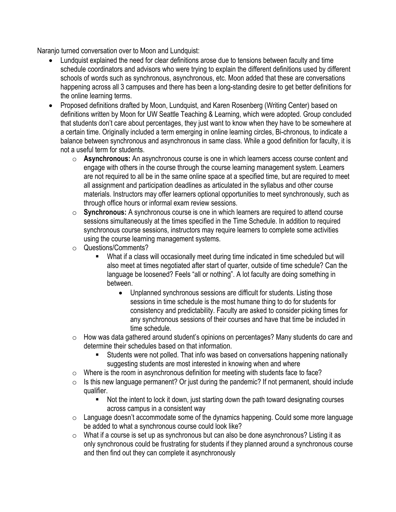Naranjo turned conversation over to Moon and Lundquist:

- Lundquist explained the need for clear definitions arose due to tensions between faculty and time schedule coordinators and advisors who were trying to explain the different definitions used by different schools of words such as synchronous, asynchronous, etc. Moon added that these are conversations happening across all 3 campuses and there has been a long-standing desire to get better definitions for the online learning terms.
- Proposed definitions drafted by Moon, Lundquist, and Karen Rosenberg (Writing Center) based on definitions written by Moon for UW Seattle Teaching & Learning, which were adopted. Group concluded that students don't care about percentages, they just want to know when they have to be somewhere at a certain time. Originally included a term emerging in online learning circles, Bi-chronous, to indicate a balance between synchronous and asynchronous in same class. While a good definition for faculty, it is not a useful term for students.
	- o **Asynchronous:** An asynchronous course is one in which learners access course content and engage with others in the course through the course learning management system. Learners are not required to all be in the same online space at a specified time, but are required to meet all assignment and participation deadlines as articulated in the syllabus and other course materials. Instructors may offer learners optional opportunities to meet synchronously, such as through office hours or informal exam review sessions.
	- o **Synchronous:** A synchronous course is one in which learners are required to attend course sessions simultaneously at the times specified in the Time Schedule. In addition to required synchronous course sessions, instructors may require learners to complete some activities using the course learning management systems.
	- o Questions/Comments?
		- What if a class will occasionally meet during time indicated in time scheduled but will also meet at times negotiated after start of quarter, outside of time schedule? Can the language be loosened? Feels "all or nothing". A lot faculty are doing something in between.
			- Unplanned synchronous sessions are difficult for students. Listing those sessions in time schedule is the most humane thing to do for students for consistency and predictability. Faculty are asked to consider picking times for any synchronous sessions of their courses and have that time be included in time schedule.
	- o How was data gathered around student's opinions on percentages? Many students do care and determine their schedules based on that information.
		- Students were not polled. That info was based on conversations happening nationally suggesting students are most interested in knowing when and where
	- $\circ$  Where is the room in asynchronous definition for meeting with students face to face?
	- $\circ$  Is this new language permanent? Or just during the pandemic? If not permanent, should include qualifier.
		- Not the intent to lock it down, just starting down the path toward designating courses across campus in a consistent way
	- $\circ$  Language doesn't accommodate some of the dynamics happening. Could some more language be added to what a synchronous course could look like?
	- $\circ$  What if a course is set up as synchronous but can also be done asynchronous? Listing it as only synchronous could be frustrating for students if they planned around a synchronous course and then find out they can complete it asynchronously